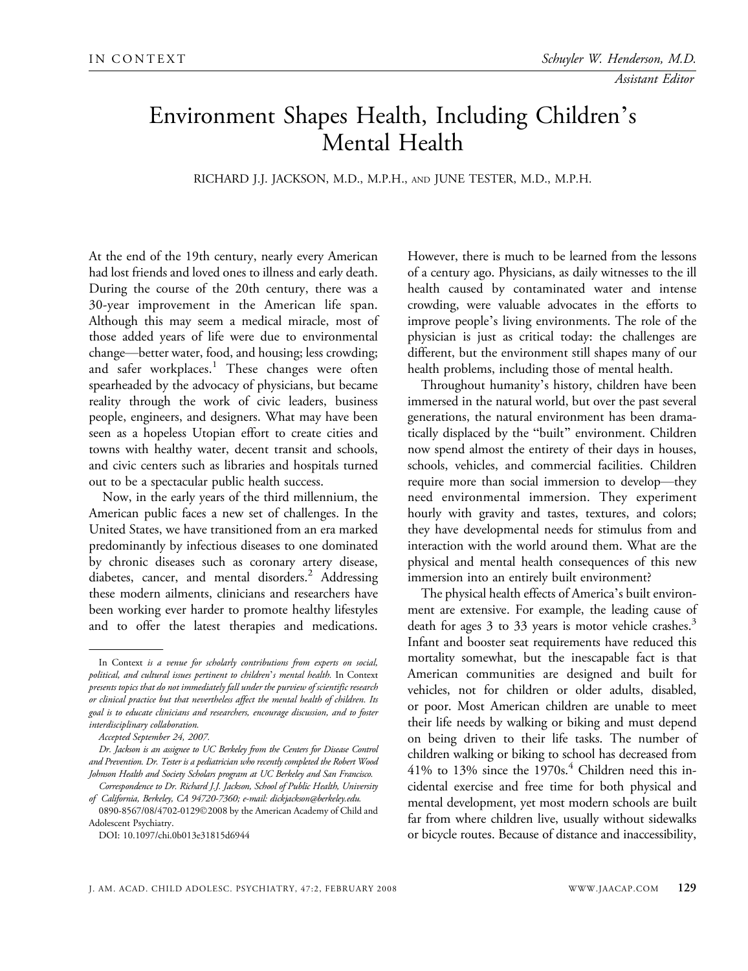## Environment Shapes Health, Including Children\_ s Mental Health

RICHARD J.J. JACKSON, M.D., M.P.H., AND JUNE TESTER, M.D., M.P.H.

At the end of the 19th century, nearly every American had lost friends and loved ones to illness and early death. During the course of the 20th century, there was a 30-year improvement in the American life span. Although this may seem a medical miracle, most of those added years of life were due to environmental change—better water, food, and housing; less crowding; and safer workplaces.<sup>1</sup> These changes were often spearheaded by the advocacy of physicians, but became reality through the work of civic leaders, business people, engineers, and designers. What may have been seen as a hopeless Utopian effort to create cities and towns with healthy water, decent transit and schools, and civic centers such as libraries and hospitals turned out to be a spectacular public health success.

Now, in the early years of the third millennium, the American public faces a new set of challenges. In the United States, we have transitioned from an era marked predominantly by infectious diseases to one dominated by chronic diseases such as coronary artery disease, diabetes, cancer, and mental disorders.<sup>2</sup> Addressing these modern ailments, clinicians and researchers have been working ever harder to promote healthy lifestyles and to offer the latest therapies and medications.

Correspondence to Dr. Richard J.J. Jackson, School of Public Health, University of California, Berkeley, CA 94720-7360; e-mail: dickjackson@berkeley.edu. 0890-8567/08/4702-01292008 by the American Academy of Child and

However, there is much to be learned from the lessons of a century ago. Physicians, as daily witnesses to the ill health caused by contaminated water and intense crowding, were valuable advocates in the efforts to improve people's living environments. The role of the physician is just as critical today: the challenges are different, but the environment still shapes many of our health problems, including those of mental health.

Throughout humanity's history, children have been immersed in the natural world, but over the past several generations, the natural environment has been dramatically displaced by the "built" environment. Children now spend almost the entirety of their days in houses, schools, vehicles, and commercial facilities. Children require more than social immersion to develop—they need environmental immersion. They experiment hourly with gravity and tastes, textures, and colors; they have developmental needs for stimulus from and interaction with the world around them. What are the physical and mental health consequences of this new immersion into an entirely built environment?

The physical health effects of America's built environment are extensive. For example, the leading cause of death for ages 3 to 33 years is motor vehicle crashes.<sup>3</sup> Infant and booster seat requirements have reduced this mortality somewhat, but the inescapable fact is that American communities are designed and built for vehicles, not for children or older adults, disabled, or poor. Most American children are unable to meet their life needs by walking or biking and must depend on being driven to their life tasks. The number of children walking or biking to school has decreased from  $41\%$  to 13% since the 1970s.<sup>4</sup> Children need this incidental exercise and free time for both physical and mental development, yet most modern schools are built far from where children live, usually without sidewalks or bicycle routes. Because of distance and inaccessibility,

In Context is a venue for scholarly contributions from experts on social, political, and cultural issues pertinent to children's mental health. In Context presents topics that do not immediately fall under the purview of scientific research or clinical practice but that nevertheless affect the mental health of children. Its goal is to educate clinicians and researchers, encourage discussion, and to foster interdisciplinary collaboration.

Accepted September 24, 2007.

Dr. Jackson is an assignee to UC Berkeley from the Centers for Disease Control and Prevention. Dr. Tester is a pediatrician who recently completed the Robert Wood Johnson Health and Society Scholars program at UC Berkeley and San Francisco.

Adolescent Psychiatry.

DOI: 10.1097/chi.0b013e31815d6944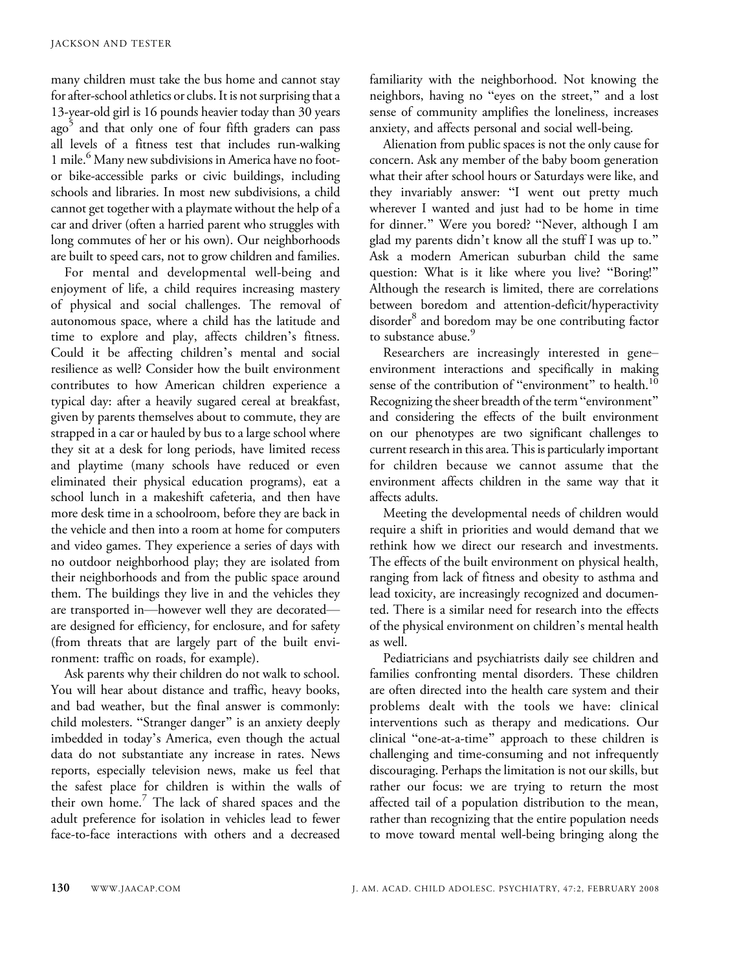many children must take the bus home and cannot stay for after-school athletics or clubs. It is not surprising that a 13-year-old girl is 16 pounds heavier today than 30 years ago<sup>5</sup> and that only one of four fifth graders can pass all levels of a fitness test that includes run-walking 1 mile.<sup>6</sup> Many new subdivisions in America have no footor bike-accessible parks or civic buildings, including schools and libraries. In most new subdivisions, a child cannot get together with a playmate without the help of a car and driver (often a harried parent who struggles with long commutes of her or his own). Our neighborhoods are built to speed cars, not to grow children and families.

For mental and developmental well-being and enjoyment of life, a child requires increasing mastery of physical and social challenges. The removal of autonomous space, where a child has the latitude and time to explore and play, affects children's fitness. Could it be affecting children's mental and social resilience as well? Consider how the built environment contributes to how American children experience a typical day: after a heavily sugared cereal at breakfast, given by parents themselves about to commute, they are strapped in a car or hauled by bus to a large school where they sit at a desk for long periods, have limited recess and playtime (many schools have reduced or even eliminated their physical education programs), eat a school lunch in a makeshift cafeteria, and then have more desk time in a schoolroom, before they are back in the vehicle and then into a room at home for computers and video games. They experience a series of days with no outdoor neighborhood play; they are isolated from their neighborhoods and from the public space around them. The buildings they live in and the vehicles they are transported in-however well they are decoratedare designed for efficiency, for enclosure, and for safety (from threats that are largely part of the built environment: traffic on roads, for example).

Ask parents why their children do not walk to school. You will hear about distance and traffic, heavy books, and bad weather, but the final answer is commonly: child molesters. "Stranger danger" is an anxiety deeply imbedded in today's America, even though the actual data do not substantiate any increase in rates. News reports, especially television news, make us feel that the safest place for children is within the walls of their own home.<sup>7</sup> The lack of shared spaces and the adult preference for isolation in vehicles lead to fewer face-to-face interactions with others and a decreased

familiarity with the neighborhood. Not knowing the neighbors, having no "eyes on the street," and a lost sense of community amplifies the loneliness, increases anxiety, and affects personal and social well-being.

Alienation from public spaces is not the only cause for concern. Ask any member of the baby boom generation what their after school hours or Saturdays were like, and they invariably answer: "I went out pretty much wherever I wanted and just had to be home in time for dinner." Were you bored? "Never, although I am glad my parents didn't know all the stuff I was up to." Ask a modern American suburban child the same question: What is it like where you live? "Boring!" Although the research is limited, there are correlations between boredom and attention-deficit/hyperactivity disorder<sup>8</sup> and boredom may be one contributing factor to substance abuse.<sup>9</sup>

Researchers are increasingly interested in geneenvironment interactions and specifically in making sense of the contribution of "environment" to health.<sup>10</sup> Recognizing the sheer breadth of the term "environment" and considering the effects of the built environment on our phenotypes are two significant challenges to current research in this area. This is particularly important for children because we cannot assume that the environment affects children in the same way that it affects adults.

Meeting the developmental needs of children would require a shift in priorities and would demand that we rethink how we direct our research and investments. The effects of the built environment on physical health, ranging from lack of fitness and obesity to asthma and lead toxicity, are increasingly recognized and documented. There is a similar need for research into the effects of the physical environment on children's mental health as well.

Pediatricians and psychiatrists daily see children and families confronting mental disorders. These children are often directed into the health care system and their problems dealt with the tools we have: clinical interventions such as therapy and medications. Our clinical "one-at-a-time" approach to these children is challenging and time-consuming and not infrequently discouraging. Perhaps the limitation is not our skills, but rather our focus: we are trying to return the most affected tail of a population distribution to the mean, rather than recognizing that the entire population needs to move toward mental well-being bringing along the